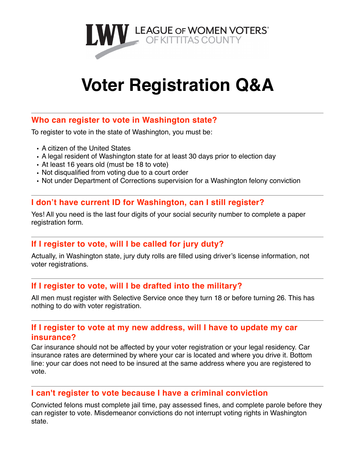

# **Voter Registration Q&A**

## **Who can register to vote in Washington state?**

To register to vote in the state of Washington, you must be:

- A citizen of the United States
- A legal resident of Washington state for at least 30 days prior to election day
- At least 16 years old (must be 18 to vote)
- Not disqualified from voting due to a court order
- Not under Department of Corrections supervision for a Washington felony conviction

## **I don't have current ID for Washington, can I still register?**

Yes! All you need is the last four digits of your social security number to complete a paper registration form.

## **If I register to vote, will I be called for jury duty?**

Actually, in Washington state, jury duty rolls are filled using driver's license information, not voter registrations.

## **If I register to vote, will I be drafted into the military?**

All men must register with Selective Service once they turn 18 or before turning 26. This has nothing to do with voter registration.

## **If I register to vote at my new address, will I have to update my car insurance?**

Car insurance should not be affected by your voter registration or your legal residency. Car insurance rates are determined by where your car is located and where you drive it. Bottom line: your car does not need to be insured at the same address where you are registered to vote.

#### **I can't register to vote because I have a criminal conviction**

Convicted felons must complete jail time, pay assessed fines, and complete parole before they can register to vote. Misdemeanor convictions do not interrupt voting rights in Washington state.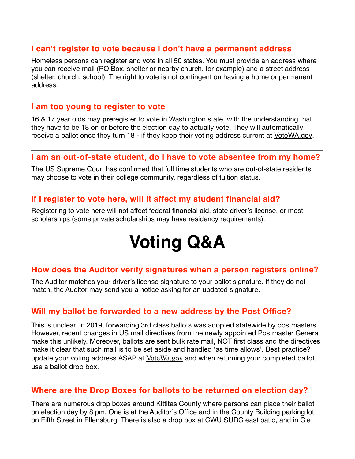#### **I can't register to vote because I don't have a permanent address**

Homeless persons can register and vote in all 50 states. You must provide an address where you can receive mail (PO Box, shelter or nearby church, for example) and a street address (shelter, church, school). The right to vote is not contingent on having a home or permanent address.

#### **I am too young to register to vote**

16 & 17 year olds may **pre**register to vote in Washington state, with the understanding that they have to be 18 on or before the election day to actually vote. They will automatically receive a ballot once they turn 18 - if they keep their voting address current at [VoteWA.gov](http://votewa.gov).

## **I am an out-of-state student, do I have to vote absentee from my home?**

The US Supreme Court has confirmed that full time students who are out-of-state residents may choose to vote in their college community, regardless of tuition status.

## **If I register to vote here, will it affect my student financial aid?**

Registering to vote here will not affect federal financial aid, state driver's license, or most scholarships (some private scholarships may have residency requirements).

## **Voting Q&A**

## **How does the Auditor verify signatures when a person registers online?**

The Auditor matches your driver's license signature to your ballot signature. If they do not match, the Auditor may send you a notice asking for an updated signature.

#### **Will my ballot be forwarded to a new address by the Post Office?**

This is unclear. In 2019, forwarding 3rd class ballots was adopted statewide by postmasters. However, recent changes in US mail directives from the newly appointed Postmaster General make this unlikely. Moreover, ballots are sent bulk rate mail, NOT first class and the directives make it clear that such mail is to be set aside and handled 'as time allows'. Best practice? update your voting address ASAP at [VoteWa.gov](http://votewa.gov) and when returning your completed ballot, use a ballot drop box.

#### **Where are the Drop Boxes for ballots to be returned on election day?**

There are numerous drop boxes around Kittitas County where persons can place their ballot on election day by 8 pm. One is at the Auditor's Office and in the County Building parking lot on Fifth Street in Ellensburg. There is also a drop box at CWU SURC east patio, and in Cle